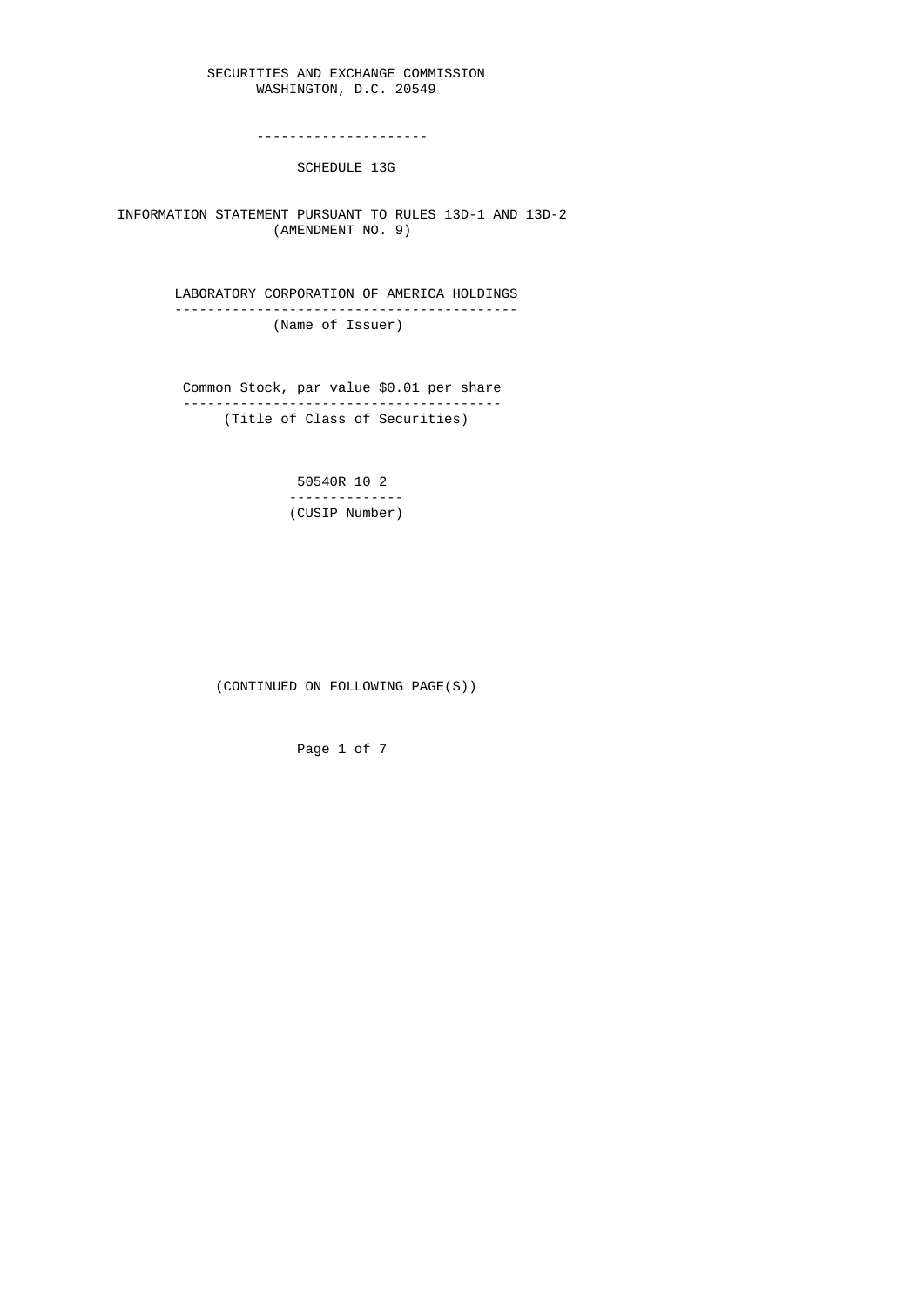## SECURITIES AND EXCHANGE COMMISSION WASHINGTON, D.C. 20549

---------------------

SCHEDULE 13G

 INFORMATION STATEMENT PURSUANT TO RULES 13D-1 AND 13D-2 (AMENDMENT NO. 9)

> LABORATORY CORPORATION OF AMERICA HOLDINGS ------------------------------------------ (Name of Issuer)

 Common Stock, par value \$0.01 per share --------------------------------------- (Title of Class of Securities)

> 50540R 10 2 -------------- (CUSIP Number)

(CONTINUED ON FOLLOWING PAGE(S))

Page 1 of 7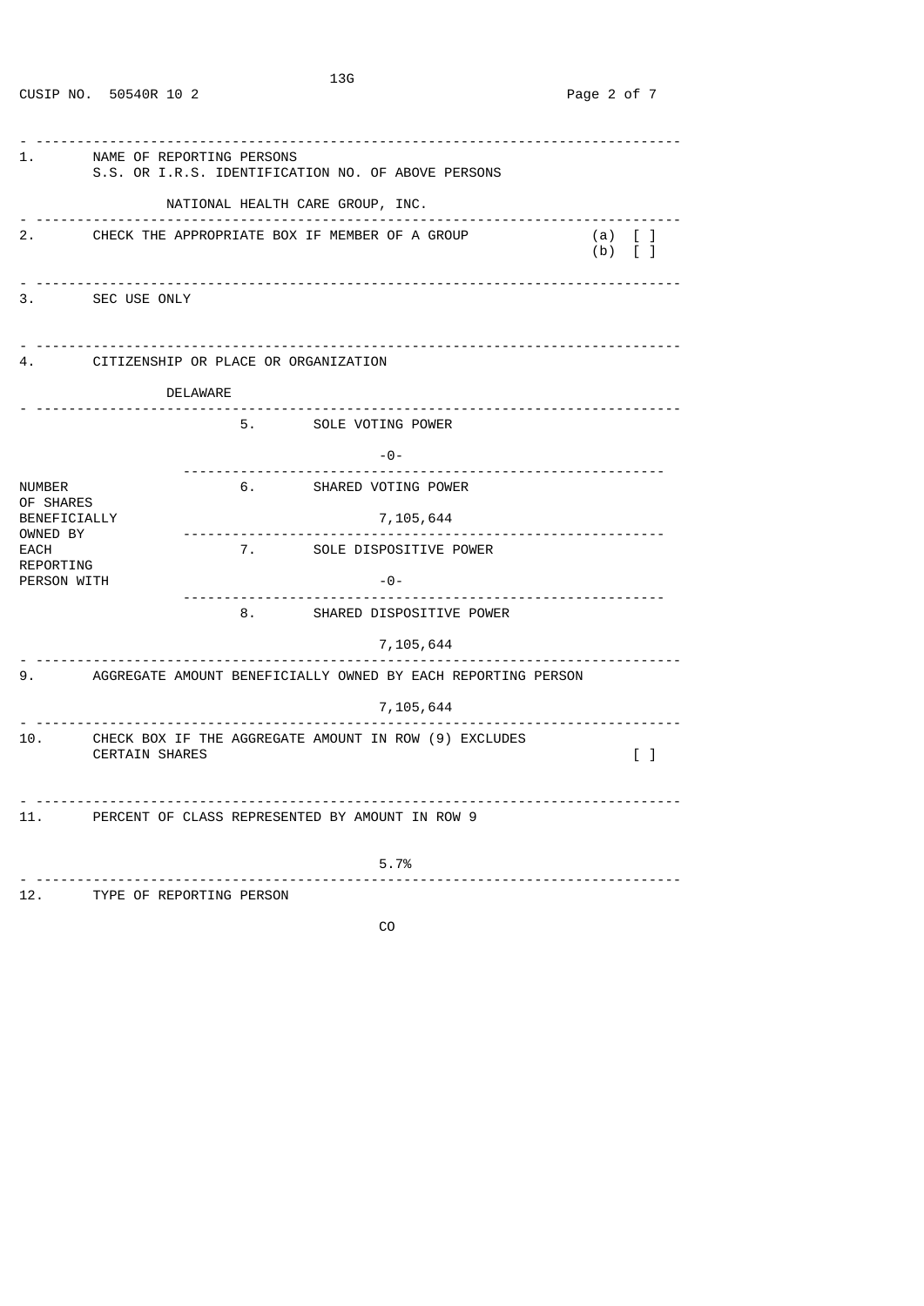| 1.                                           | NAME OF REPORTING PERSONS<br>S.S. OR I.R.S. IDENTIFICATION NO. OF ABOVE PERSONS |                                         |                                                                 |                                      |                                   |  |
|----------------------------------------------|---------------------------------------------------------------------------------|-----------------------------------------|-----------------------------------------------------------------|--------------------------------------|-----------------------------------|--|
|                                              |                                                                                 |                                         | NATIONAL HEALTH CARE GROUP, INC.                                |                                      |                                   |  |
|                                              | 2. CHECK THE APPROPRIATE BOX IF MEMBER OF A GROUP                               |                                         |                                                                 | $(a)$ [ ]<br>$(b)$ $\lceil$ $\rceil$ |                                   |  |
|                                              | 3. SEC USE ONLY                                                                 |                                         |                                                                 |                                      |                                   |  |
|                                              |                                                                                 | 4. CITIZENSHIP OR PLACE OR ORGANIZATION |                                                                 |                                      |                                   |  |
|                                              |                                                                                 | DELAWARE                                |                                                                 |                                      |                                   |  |
|                                              | <u> - - - - - - - - - - - - - - - -</u> .                                       |                                         | 5. SOLE VOTING POWER                                            |                                      |                                   |  |
|                                              |                                                                                 |                                         | $ \Theta$ $-$                                                   |                                      |                                   |  |
| NUMBER                                       |                                                                                 |                                         | 6. SHARED VOTING POWER                                          |                                      |                                   |  |
| OF SHARES<br>BENEFICIALLY                    |                                                                                 |                                         | 7, 105, 644                                                     |                                      |                                   |  |
| OWNED BY<br>EACH<br>REPORTING<br>PERSON WITH |                                                                                 | -----------------                       | ---------------------<br>7. SOLE DISPOSITIVE POWER              |                                      |                                   |  |
|                                              |                                                                                 | .                                       | $-0-$                                                           |                                      |                                   |  |
|                                              |                                                                                 |                                         | 8. SHARED DISPOSITIVE POWER                                     |                                      |                                   |  |
|                                              |                                                                                 |                                         | 7,105,644                                                       |                                      |                                   |  |
|                                              |                                                                                 |                                         | 9. AGGREGATE AMOUNT BENEFICIALLY OWNED BY EACH REPORTING PERSON |                                      |                                   |  |
|                                              |                                                                                 |                                         | 7,105,644                                                       |                                      |                                   |  |
| 10.                                          | <b>CERTAIN SHARES</b>                                                           |                                         | CHECK BOX IF THE AGGREGATE AMOUNT IN ROW (9) EXCLUDES           |                                      | $\begin{bmatrix} 1 \end{bmatrix}$ |  |
|                                              |                                                                                 |                                         | 11. PERCENT OF CLASS REPRESENTED BY AMOUNT IN ROW 9             |                                      |                                   |  |
|                                              |                                                                                 |                                         | 5.7%<br>----------------------------------                      |                                      |                                   |  |
|                                              | 12. TYPE OF REPORTING PERSON                                                    |                                         |                                                                 |                                      |                                   |  |
|                                              |                                                                                 |                                         | CO                                                              |                                      |                                   |  |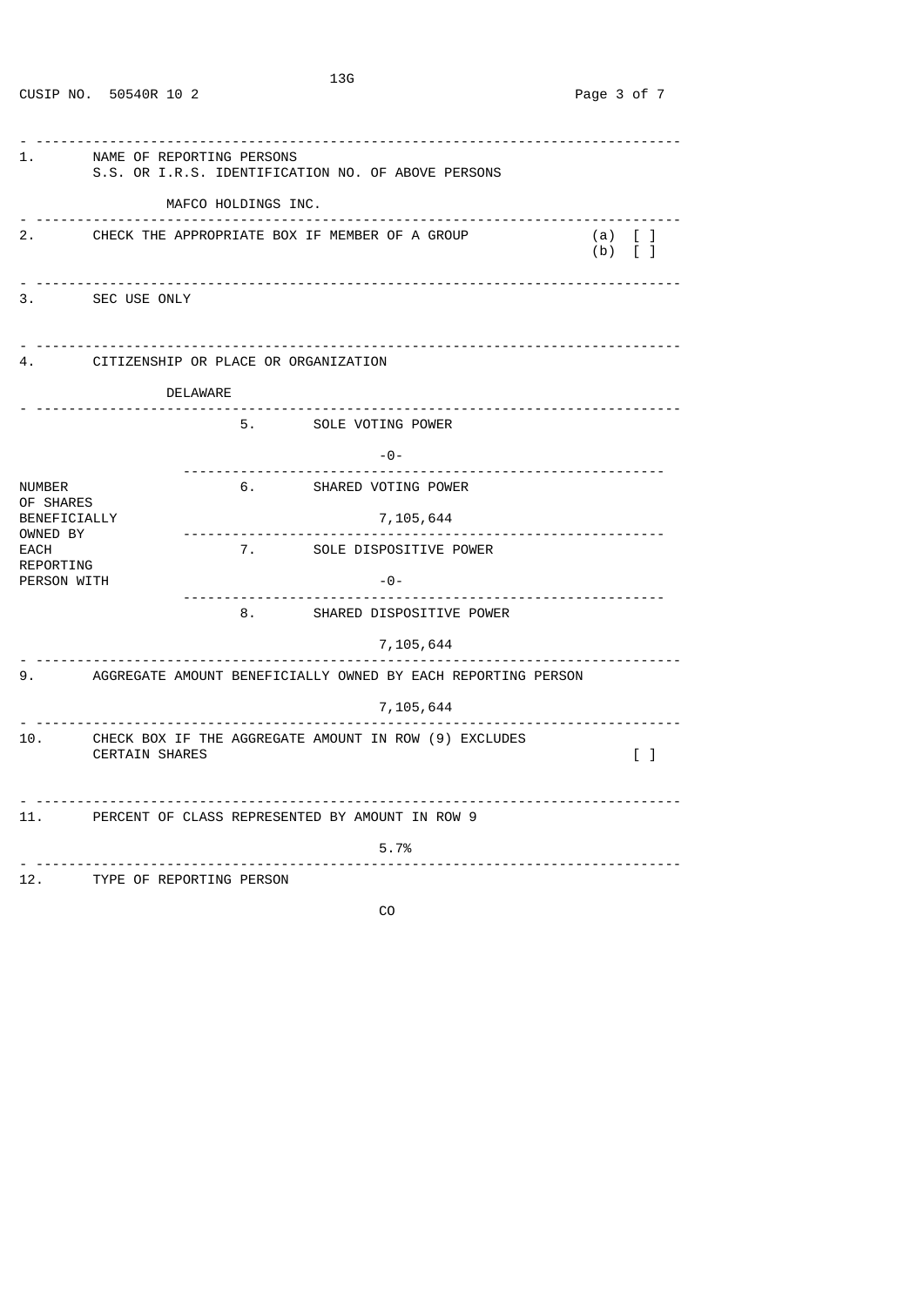| 1.                                                  | NAME OF REPORTING PERSONS<br>S.S. OR I.R.S. IDENTIFICATION NO. OF ABOVE PERSONS<br>MAFCO HOLDINGS INC.              |                                                   |          |                             |                           |                                    |
|-----------------------------------------------------|---------------------------------------------------------------------------------------------------------------------|---------------------------------------------------|----------|-----------------------------|---------------------------|------------------------------------|
|                                                     |                                                                                                                     | 2. CHECK THE APPROPRIATE BOX IF MEMBER OF A GROUP |          |                             |                           | (a) [ ]<br>$(b)$ $\lceil$ $\rceil$ |
|                                                     | 3. SEC USE ONLY                                                                                                     |                                                   |          |                             |                           |                                    |
|                                                     | 4. CITIZENSHIP OR PLACE OR ORGANIZATION                                                                             |                                                   |          |                             |                           |                                    |
|                                                     | DELAWARE                                                                                                            |                                                   |          |                             |                           |                                    |
|                                                     |                                                                                                                     |                                                   |          | 5. SOLE VOTING POWER        |                           |                                    |
|                                                     |                                                                                                                     | -----------------                                 |          | $-0-$                       | ------------------------- |                                    |
| NUMBER                                              |                                                                                                                     |                                                   |          | 6. SHARED VOTING POWER      |                           |                                    |
| OF SHARES<br>BENEFICIALLY                           |                                                                                                                     | <u> - - - - - - - - - - - - - - - - -</u>         |          | 7,105,644                   |                           |                                    |
| OWNED BY<br>EACH                                    |                                                                                                                     |                                                   |          | 7. SOLE DISPOSITIVE POWER   |                           |                                    |
| REPORTING<br>PERSON WITH                            |                                                                                                                     |                                                   |          | $ \Theta$ $-$               |                           |                                    |
|                                                     |                                                                                                                     |                                                   |          | 8. SHARED DISPOSITIVE POWER |                           |                                    |
|                                                     |                                                                                                                     |                                                   | <u>.</u> | 7,105,644                   |                           |                                    |
|                                                     | 9. AGGREGATE AMOUNT BENEFICIALLY OWNED BY EACH REPORTING PERSON                                                     |                                                   |          |                             |                           |                                    |
|                                                     | 7,105,644                                                                                                           |                                                   |          |                             |                           |                                    |
| 10.                                                 | CHECK BOX IF THE AGGREGATE AMOUNT IN ROW (9) EXCLUDES<br><b>CERTAIN SHARES</b><br>$\begin{bmatrix} 1 \end{bmatrix}$ |                                                   |          |                             |                           |                                    |
| 11. PERCENT OF CLASS REPRESENTED BY AMOUNT IN ROW 9 |                                                                                                                     |                                                   |          |                             |                           |                                    |
|                                                     |                                                                                                                     |                                                   |          | 5.7%                        |                           |                                    |
|                                                     | 12. TYPE OF REPORTING PERSON                                                                                        |                                                   |          |                             |                           |                                    |

**CO** and the contract of the contract of the contract of the contract of the contract of the contract of the contract of the contract of the contract of the contract of the contract of the contract of the contract of the c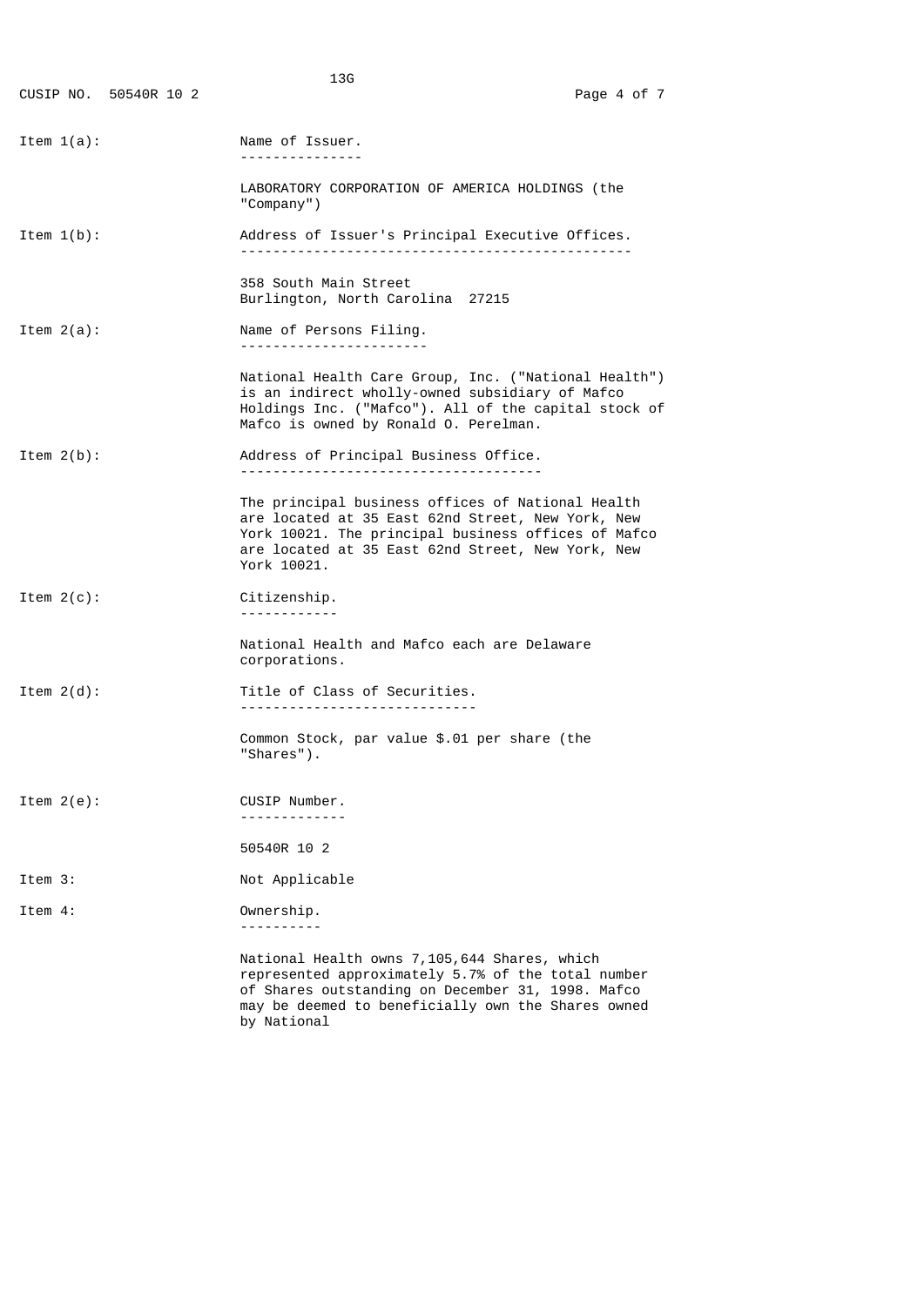|               | CUSIP NO. 50540R 10 2 | 13G                                                                                                                                                                                                                               | Page 4 of 7 |
|---------------|-----------------------|-----------------------------------------------------------------------------------------------------------------------------------------------------------------------------------------------------------------------------------|-------------|
| Item $1(a)$ : |                       | Name of Issuer.<br>. <u>.</u> .                                                                                                                                                                                                   |             |
|               |                       | LABORATORY CORPORATION OF AMERICA HOLDINGS (the<br>"Company")                                                                                                                                                                     |             |
| Item $1(b)$ : |                       | Address of Issuer's Principal Executive Offices.                                                                                                                                                                                  |             |
|               |                       | 358 South Main Street<br>Burlington, North Carolina 27215                                                                                                                                                                         |             |
| Item $2(a)$ : |                       | Name of Persons Filing.                                                                                                                                                                                                           |             |
|               |                       | National Health Care Group, Inc. ("National Health")<br>is an indirect wholly-owned subsidiary of Mafco<br>Holdings Inc. ("Mafco"). All of the capital stock of<br>Mafco is owned by Ronald O. Perelman.                          |             |
| Item $2(b)$ : |                       | Address of Principal Business Office.                                                                                                                                                                                             |             |
|               |                       | The principal business offices of National Health<br>are located at 35 East 62nd Street, New York, New<br>York 10021. The principal business offices of Mafco<br>are located at 35 East 62nd Street, New York, New<br>York 10021. |             |
| Item $2(c)$ : |                       | Citizenship.<br><u> - - - - - - - - - - -</u>                                                                                                                                                                                     |             |
|               |                       | National Health and Mafco each are Delaware<br>corporations.                                                                                                                                                                      |             |
| Item $2(d)$ : |                       | Title of Class of Securities.                                                                                                                                                                                                     |             |
|               |                       | Common Stock, par value \$.01 per share (the<br>"Shares").                                                                                                                                                                        |             |
| Item $2(e)$ : |                       | CUSIP Number.                                                                                                                                                                                                                     |             |
|               |                       | 50540R 10 2                                                                                                                                                                                                                       |             |
| Item 3:       |                       | Not Applicable                                                                                                                                                                                                                    |             |
| Item 4:       |                       | Ownership.                                                                                                                                                                                                                        |             |
|               |                       | National Health owns 7,105,644 Shares, which<br>represented approximately 5.7% of the total number                                                                                                                                |             |

 of Shares outstanding on December 31, 1998. Mafco may be deemed to beneficially own the Shares owned by National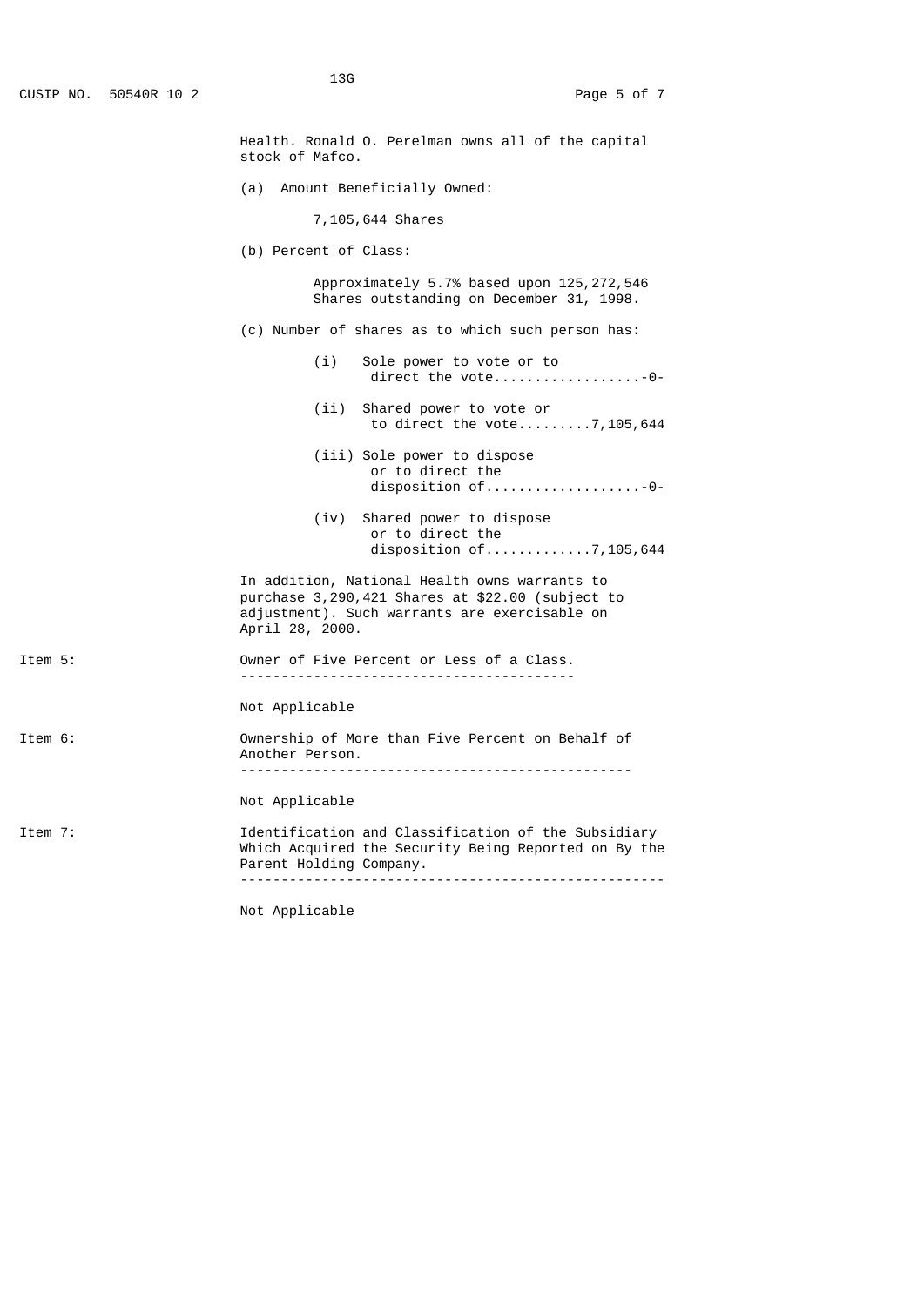|         | Health. Ronald O. Perelman owns all of the capital<br>stock of Mafco.                                                                                                 |
|---------|-----------------------------------------------------------------------------------------------------------------------------------------------------------------------|
|         | (a)<br>Amount Beneficially Owned:                                                                                                                                     |
|         | 7,105,644 Shares                                                                                                                                                      |
|         | (b) Percent of Class:                                                                                                                                                 |
|         | Approximately 5.7% based upon 125, 272, 546<br>Shares outstanding on December 31, 1998.                                                                               |
|         | (c) Number of shares as to which such person has:                                                                                                                     |
|         | (i)<br>Sole power to vote or to<br>direct the vote-0-                                                                                                                 |
|         | (ii) Shared power to vote or<br>to direct the vote7,105,644                                                                                                           |
|         | (iii) Sole power to dispose<br>or to direct the                                                                                                                       |
|         | (iv)<br>Shared power to dispose<br>or to direct the<br>disposition of7,105,644                                                                                        |
|         | In addition, National Health owns warrants to<br>purchase 3,290,421 Shares at \$22.00 (subject to<br>adjustment). Such warrants are exercisable on<br>April 28, 2000. |
| Item 5: | Owner of Five Percent or Less of a Class.<br>-------------------------------------                                                                                    |
|         | Not Applicable                                                                                                                                                        |
| Item 6: | Ownership of More than Five Percent on Behalf of<br>Another Person.                                                                                                   |
|         | Not Applicable                                                                                                                                                        |
| Item 7: | Identification and Classification of the Subsidiary<br>Which Acquired the Security Being Reported on By the<br>Parent Holding Company.                                |
|         |                                                                                                                                                                       |

Not Applicable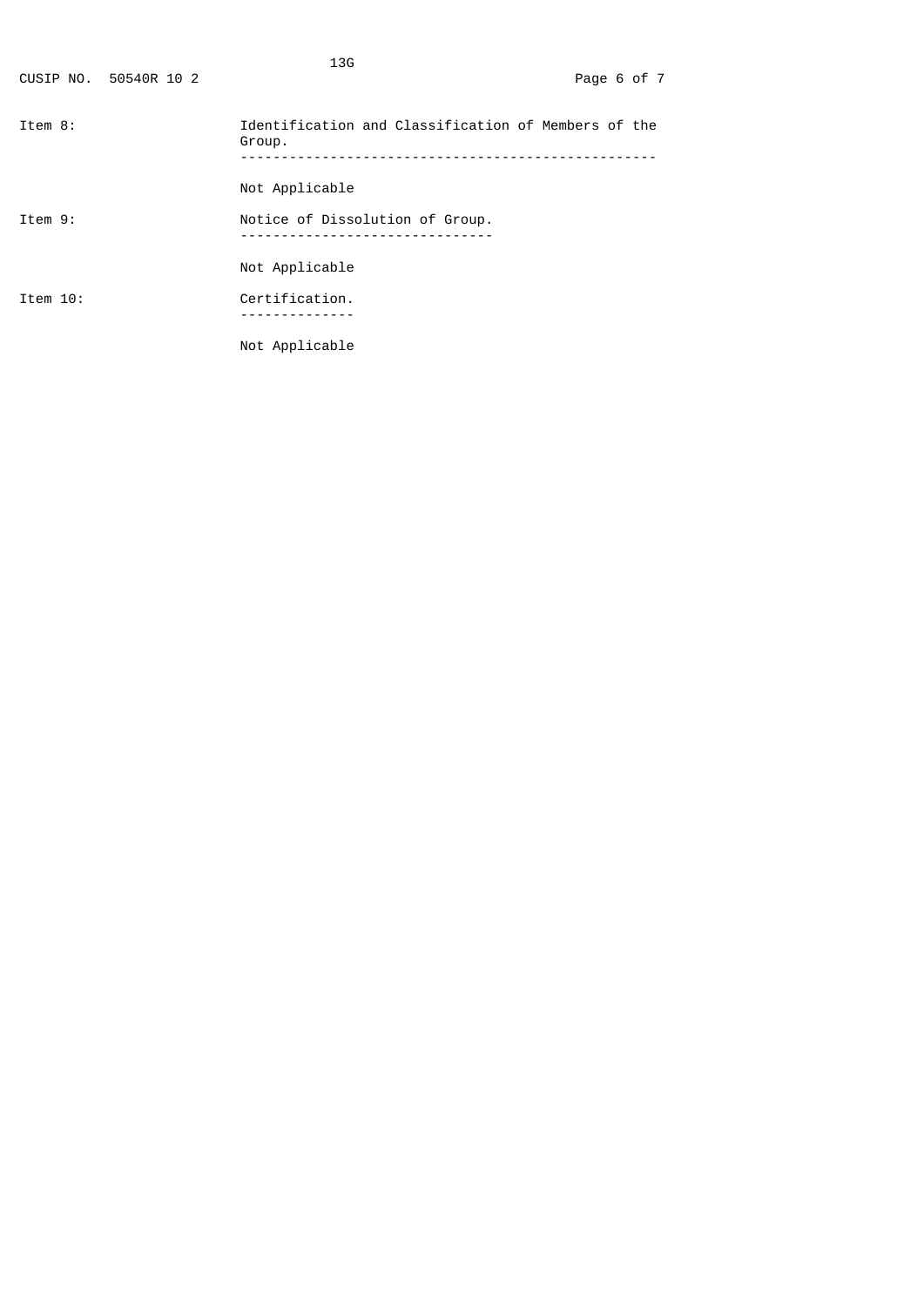|          | CUSIP NO. 50540R 10 2 | 13G                                                           | Page 6 of 7 |  |
|----------|-----------------------|---------------------------------------------------------------|-------------|--|
| Item 8:  |                       | Identification and Classification of Members of the<br>Group. |             |  |
|          |                       | Not Applicable                                                |             |  |
| Item 9:  |                       | Notice of Dissolution of Group.                               |             |  |
|          |                       | Not Applicable                                                |             |  |
| Item 10: |                       | Certification.                                                |             |  |
|          |                       | Not Applicable                                                |             |  |